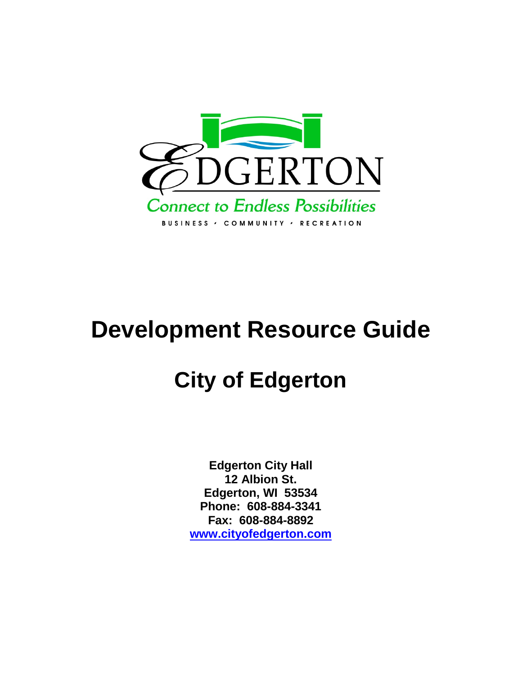

# **Development Resource Guide**

# **City of Edgerton**

**Edgerton City Hall 12 Albion St. Edgerton, WI 53534 Phone: 608-884-3341 Fax: 608-884-8892 [www.cityofedgerton.com](http://www.cityofedgerton.com/)**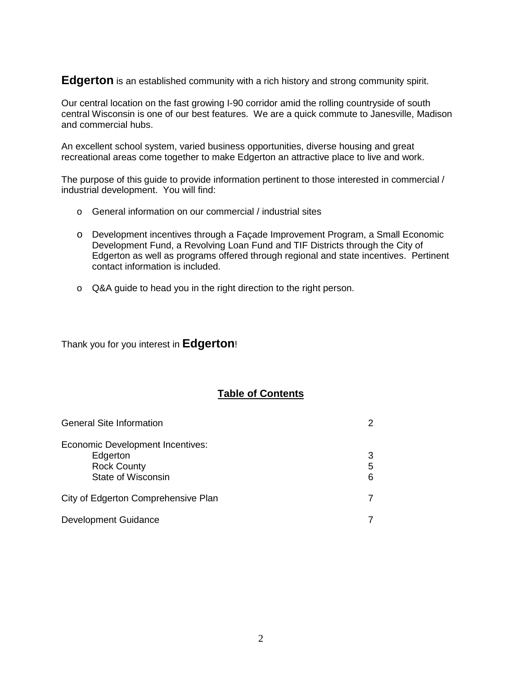**Edgerton** is an established community with a rich history and strong community spirit.

Our central location on the fast growing I-90 corridor amid the rolling countryside of south central Wisconsin is one of our best features. We are a quick commute to Janesville, Madison and commercial hubs.

An excellent school system, varied business opportunities, diverse housing and great recreational areas come together to make Edgerton an attractive place to live and work.

The purpose of this guide to provide information pertinent to those interested in commercial / industrial development. You will find:

- o General information on our commercial / industrial sites
- o Development incentives through a Façade Improvement Program, a Small Economic Development Fund, a Revolving Loan Fund and TIF Districts through the City of Edgerton as well as programs offered through regional and state incentives. Pertinent contact information is included.
- o Q&A guide to head you in the right direction to the right person.

Thank you for you interest in **Edgerton**!

#### **Table of Contents**

| <b>General Site Information</b>                                                          |             |
|------------------------------------------------------------------------------------------|-------------|
| Economic Development Incentives:<br>Edgerton<br><b>Rock County</b><br>State of Wisconsin | 3<br>5<br>6 |
| City of Edgerton Comprehensive Plan                                                      |             |
| <b>Development Guidance</b>                                                              |             |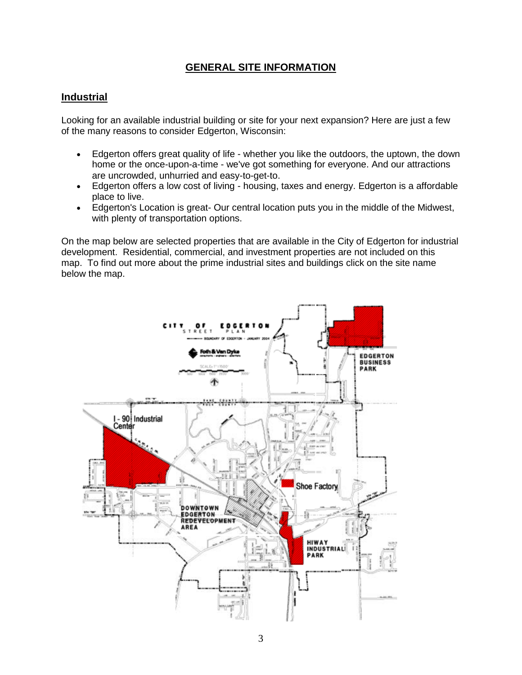### **GENERAL SITE INFORMATION**

#### **Industrial**

Looking for an available industrial building or site for your next expansion? Here are just a few of the many reasons to consider Edgerton, Wisconsin:

- Edgerton offers great quality of life whether you like the outdoors, the uptown, the down home or the once-upon-a-time - we've got something for everyone. And our attractions are uncrowded, unhurried and easy-to-get-to.
- Edgerton offers a low cost of living housing, taxes and energy. Edgerton is a affordable place to live.
- Edgerton's Location is great- Our central location puts you in the middle of the Midwest, with plenty of transportation options.

On the map below are selected properties that are available in the City of Edgerton for industrial development. Residential, commercial, and investment properties are not included on this map. To find out more about the prime industrial sites and buildings click on the site name below the map.

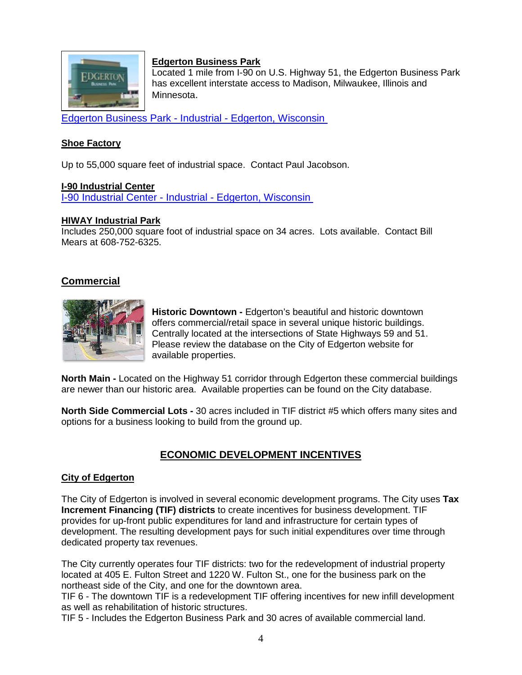

#### **Edgerton Business Park**

Located 1 mile from I-90 on U.S. Highway 51, the Edgerton Business Park has excellent interstate access to Madison, Milwaukee, Illinois and Minnesota.

[Edgerton Business Park -](http://www.cityofedgerton.com/index.asp?Type=B_BASIC&SEC=%7b83D14713-4AE6-4FC7-8752-EB037172309C%7d&DE=%7b108636A8-D57C-4304-BF99-2F85C80B570F%7d) Industrial - Edgerton, Wisconsin

#### **Shoe Factory**

Up to 55,000 square feet of industrial space. Contact Paul Jacobson.

#### **I-90 Industrial Center**

[I-90 Industrial Center -](http://www.cityofedgerton.com/index.asp?Type=B_BASIC&SEC=%7b83D14713-4AE6-4FC7-8752-EB037172309C%7d&DE=%7b99E6B261-0F2C-46F5-89CB-33BCC942581C%7d) Industrial - Edgerton, Wisconsin

#### **HIWAY Industrial Park**

Includes 250,000 square foot of industrial space on 34 acres. Lots available. Contact Bill Mears at 608-752-6325.

# **Commercial**



**Historic Downtown -** Edgerton's beautiful and historic downtown offers commercial/retail space in several unique historic buildings. Centrally located at the intersections of State Highways 59 and 51. Please review the database on the City of Edgerton website for available properties.

**North Main -** Located on the Highway 51 corridor through Edgerton these commercial buildings are newer than our historic area. Available properties can be found on the City database.

**North Side Commercial Lots -** 30 acres included in TIF district #5 which offers many sites and options for a business looking to build from the ground up.

# **ECONOMIC DEVELOPMENT INCENTIVES**

#### **City of Edgerton**

The City of Edgerton is involved in several economic development programs. The City uses **Tax Increment Financing (TIF) districts** to create incentives for business development. TIF provides for up-front public expenditures for land and infrastructure for certain types of development. The resulting development pays for such initial expenditures over time through dedicated property tax revenues.

The City currently operates four TIF districts: two for the redevelopment of industrial property located at 405 E. Fulton Street and 1220 W. Fulton St., one for the business park on the northeast side of the City, and one for the downtown area.

TIF 6 - The downtown TIF is a redevelopment TIF offering incentives for new infill development as well as rehabilitation of historic structures.

TIF 5 - Includes the Edgerton Business Park and 30 acres of available commercial land.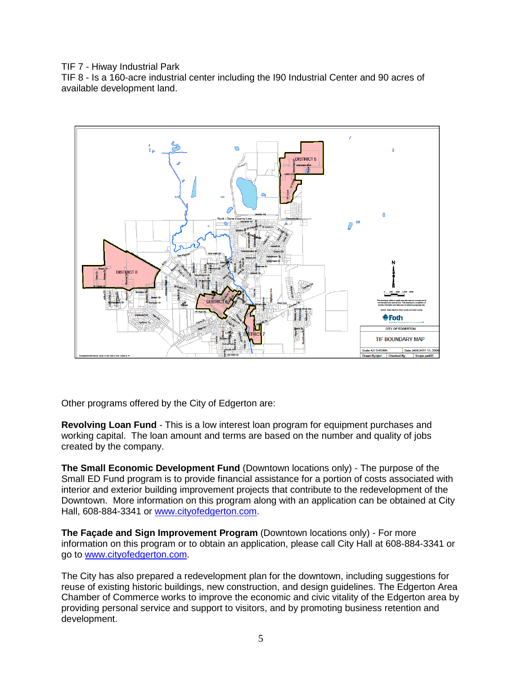TIF 7 - Hiway Industrial Park

TIF 8 - Is a 160-acre industrial center including the I90 Industrial Center and 90 acres of available development land.



Other programs offered by the City of Edgerton are:

**Revolving Loan Fund** - This is a low interest loan program for equipment purchases and working capital. The loan amount and terms are based on the number and quality of jobs created by the company.

**The Small Economic Development Fund** (Downtown locations only) - The purpose of the Small ED Fund program is to provide financial assistance for a portion of costs associated with interior and exterior building improvement projects that contribute to the redevelopment of the Downtown. More information on this program along with an application can be obtained at City Hall, 608-884-3341 or [www.cityofedgerton.com.](http://www.cityofedgerton.com/)

**The Façade and Sign Improvement Program** (Downtown locations only) - For more information on this program or to obtain an application, please call City Hall at 608-884-3341 or go to [www.cityofedgerton.com.](http://www.cityofedgerton.com/)

The City has also prepared a redevelopment plan for the downtown, including suggestions for reuse of existing historic buildings, new construction, and design guidelines. The Edgerton Area Chamber of Commerce works to improve the economic and civic vitality of the Edgerton area by providing personal service and support to visitors, and by promoting business retention and development.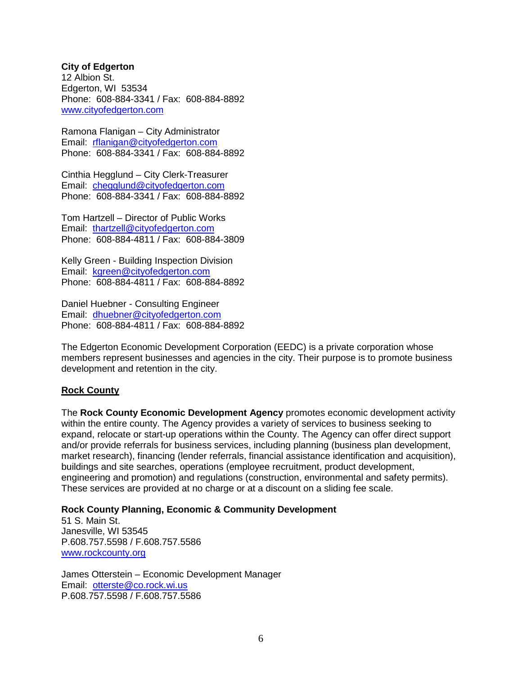#### **City of Edgerton**

12 Albion St. Edgerton, WI 53534 Phone: 608-884-3341 / Fax: 608-884-8892 [www.cityofedgerton.com](http://www.cityofedgerton.com/)

Ramona Flanigan – City Administrator Email: [rflanigan@cityofedgerton.com](mailto:rflanigan@cityofedgerton.com) Phone: 608-884-3341 / Fax: 608-884-8892

Cinthia Hegglund – City Clerk-Treasurer Email: [chegglund@cityofedgerton.com](mailto:chegglund@cityofedgerton.com) Phone: 608-884-3341 / Fax: 608-884-8892

Tom Hartzell – Director of Public Works Email: [thartzell@cityofedgerton.com](mailto:thartzell@cityofedgerton.com) Phone: 608-884-4811 / Fax: 608-884-3809

Kelly Green - Building Inspection Division Email: [kgreen@cityofedgerton.com](mailto:kgreen@cityofedgerton.com) Phone: 608-884-4811 / Fax: 608-884-8892

Daniel Huebner - Consulting Engineer Email: [dhuebner@cityofedgerton.com](mailto:dhuebner@cityofedgerton.com) Phone: 608-884-4811 / Fax: 608-884-8892

The Edgerton Economic Development Corporation (EEDC) is a private corporation whose members represent businesses and agencies in the city. Their purpose is to promote business development and retention in the city.

#### **Rock County**

The **Rock County Economic Development Agency** promotes economic development activity within the entire county. The Agency provides a variety of services to business seeking to expand, relocate or start-up operations within the County. The Agency can offer direct support and/or provide referrals for business services, including planning (business plan development, market research), financing (lender referrals, financial assistance identification and acquisition), buildings and site searches, operations (employee recruitment, product development, engineering and promotion) and regulations (construction, environmental and safety permits). These services are provided at no charge or at a discount on a sliding fee scale.

#### **Rock County Planning, Economic & Community Development**

51 S. Main St. Janesville, WI 53545 P.608.757.5598 / F.608.757.5586 [www.rockcounty.org](http://www.rockcounty.org/)

James Otterstein – Economic Development Manager Email: [otterste@co.rock.wi.us](mailto:otterste@co.rock.wi.us) P.608.757.5598 / F.608.757.5586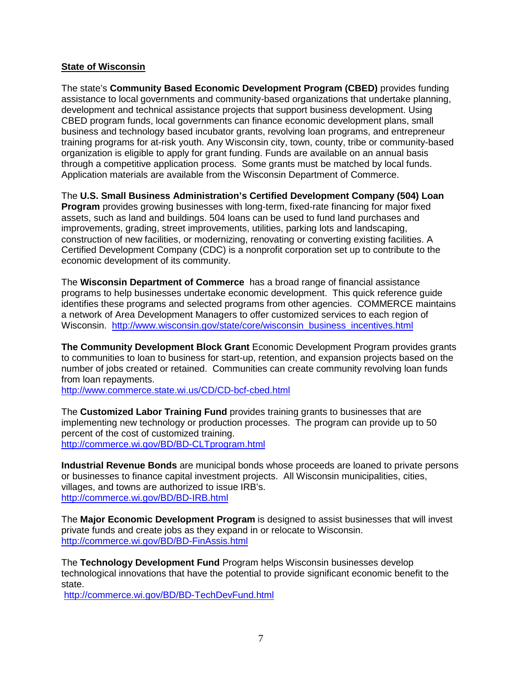#### **State of Wisconsin**

The state's **Community Based Economic Development Program (CBED)** provides funding assistance to local governments and community-based organizations that undertake planning, development and technical assistance projects that support business development. Using CBED program funds, local governments can finance economic development plans, small business and technology based incubator grants, revolving loan programs, and entrepreneur training programs for at-risk youth. Any Wisconsin city, town, county, tribe or community-based organization is eligible to apply for grant funding. Funds are available on an annual basis through a competitive application process. Some grants must be matched by local funds. Application materials are available from the Wisconsin Department of Commerce.

The **U.S. Small Business Administration's Certified Development Company (504) Loan** 

**Program** provides growing businesses with long-term, fixed-rate financing for major fixed assets, such as land and buildings. 504 loans can be used to fund land purchases and improvements, grading, street improvements, utilities, parking lots and landscaping, construction of new facilities, or modernizing, renovating or converting existing facilities. A Certified Development Company (CDC) is a nonprofit corporation set up to contribute to the economic development of its community.

The **Wisconsin Department of Commerce** has a broad range of financial assistance programs to help businesses undertake economic development. This quick reference guide identifies these programs and selected programs from other agencies. COMMERCE maintains a network of Area Development Managers to offer customized services to each region of Wisconsin. [http://www.wisconsin.gov/state/core/wisconsin\\_business\\_incentives.html](http://www.wisconsin.gov/state/core/wisconsin_business_incentives.html)

**The Community Development Block Grant** Economic Development Program provides grants to communities to loan to business for start-up, retention, and expansion projects based on the number of jobs created or retained. Communities can create community revolving loan funds from loan repayments.

<http://www.commerce.state.wi.us/CD/CD-bcf-cbed.html>

The **Customized Labor Training Fund** provides training grants to businesses that are implementing new technology or production processes. The program can provide up to 50 percent of the cost of customized training. <http://commerce.wi.gov/BD/BD-CLTprogram.html>

**Industrial Revenue Bonds** are municipal bonds whose proceeds are loaned to private persons or businesses to finance capital investment projects. All Wisconsin municipalities, cities, villages, and towns are authorized to issue IRB's. <http://commerce.wi.gov/BD/BD-IRB.html>

The **Major Economic Development Program** is designed to assist businesses that will invest private funds and create jobs as they expand in or relocate to Wisconsin. <http://commerce.wi.gov/BD/BD-FinAssis.html>

The **Technology Development Fund** Program helps Wisconsin businesses develop technological innovations that have the potential to provide significant economic benefit to the state.

<http://commerce.wi.gov/BD/BD-TechDevFund.html>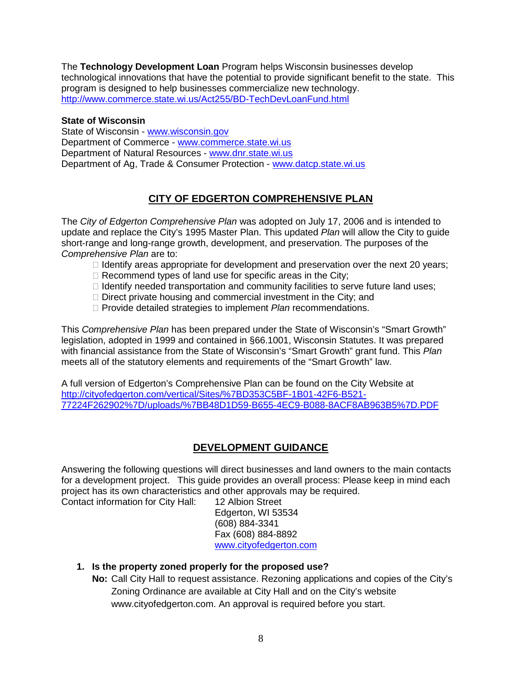The **Technology Development Loan** Program helps Wisconsin businesses develop technological innovations that have the potential to provide significant benefit to the state. This program is designed to help businesses commercialize new technology. <http://www.commerce.state.wi.us/Act255/BD-TechDevLoanFund.html>

#### **State of Wisconsin**

State of Wisconsin - [www.wisconsin.gov](http://www.wisconsin.gov/) Department of Commerce - [www.commerce.state.wi.us](http://www.commerce.state.wi.us/) Department of Natural Resources - [www.dnr.state.wi.us](http://www.dnr.state.wi.us/) Department of Ag, Trade & Consumer Protection - [www.datcp.state.wi.us](http://www.datcp.state.wi.us/)

# **CITY OF EDGERTON COMPREHENSIVE PLAN**

The *City of Edgerton Comprehensive Plan* was adopted on July 17, 2006 and is intended to update and replace the City's 1995 Master Plan. This updated *Plan* will allow the City to guide short-range and long-range growth, development, and preservation. The purposes of the *Comprehensive Plan* are to:

- $\Box$  Identify areas appropriate for development and preservation over the next 20 years;
- $\Box$  Recommend types of land use for specific areas in the City;
- $\Box$  Identify needed transportation and community facilities to serve future land uses;
- $\Box$  Direct private housing and commercial investment in the City; and
- □ Provide detailed strategies to implement *Plan* recommendations.

This *Comprehensive Plan* has been prepared under the State of Wisconsin's "Smart Growth" legislation, adopted in 1999 and contained in §66.1001, Wisconsin Statutes. It was prepared with financial assistance from the State of Wisconsin's "Smart Growth" grant fund. This *Plan*  meets all of the statutory elements and requirements of the "Smart Growth" law.

A full version of Edgerton's Comprehensive Plan can be found on the City Website at [http://cityofedgerton.com/vertical/Sites/%7BD353C5BF-1B01-42F6-B521-](http://cityofedgerton.com/vertical/Sites/%7BD353C5BF-1B01-42F6-B521-77224F262902%7D/uploads/%7BB48D1D59-B655-4EC9-B088-8ACF8AB963B5%7D.PDF) [77224F262902%7D/uploads/%7BB48D1D59-B655-4EC9-B088-8ACF8AB963B5%7D.PDF](http://cityofedgerton.com/vertical/Sites/%7BD353C5BF-1B01-42F6-B521-77224F262902%7D/uploads/%7BB48D1D59-B655-4EC9-B088-8ACF8AB963B5%7D.PDF)

# **DEVELOPMENT GUIDANCE**

Answering the following questions will direct businesses and land owners to the main contacts for a development project. This guide provides an overall process: Please keep in mind each project has its own characteristics and other approvals may be required.<br>Contact information for City Hall: 12 Albion Street Contact information for City Hall:

Edgerton, WI 53534 (608) 884-3341 Fax (608) 884-8892 [www.cityofedgerton.com](http://www.cityofedgerton.com/)

#### **1. Is the property zoned properly for the proposed use?**

**No:** Call City Hall to request assistance. Rezoning applications and copies of the City's Zoning Ordinance are available at City Hall and on the City's website www.cityofedgerton.com. An approval is required before you start.